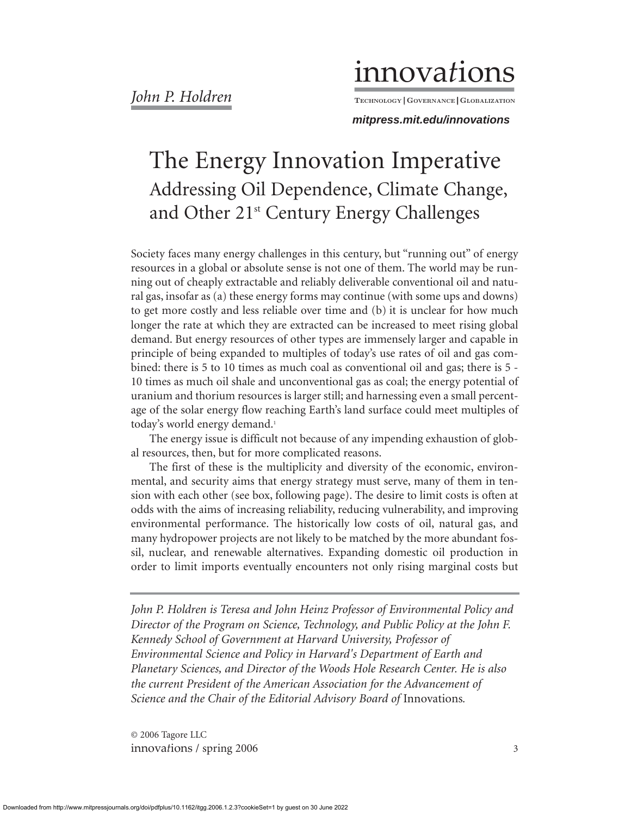innova*t*ions

TECHNOLOGY **|** GOVERNANCE **|** GLOBALIZATION

*mitpress.mit.edu/innovations*

# The Energy Innovation Imperative Addressing Oil Dependence, Climate Change, and Other 21<sup>st</sup> Century Energy Challenges

Society faces many energy challenges in this century, but "running out" of energy resources in a global or absolute sense is not one of them. The world may be running out of cheaply extractable and reliably deliverable conventional oil and natural gas, insofar as (a) these energy forms may continue (with some ups and downs) to get more costly and less reliable over time and (b) it is unclear for how much longer the rate at which they are extracted can be increased to meet rising global demand. But energy resources of other types are immensely larger and capable in principle of being expanded to multiples of today's use rates of oil and gas combined: there is 5 to 10 times as much coal as conventional oil and gas; there is 5 - 10 times as much oil shale and unconventional gas as coal; the energy potential of uranium and thorium resources is larger still; and harnessing even a small percentage of the solar energy flow reaching Earth's land surface could meet multiples of today's world energy demand.<sup>1</sup>

The energy issue is difficult not because of any impending exhaustion of global resources, then, but for more complicated reasons.

The first of these is the multiplicity and diversity of the economic, environmental, and security aims that energy strategy must serve, many of them in tension with each other (see box, following page). The desire to limit costs is often at odds with the aims of increasing reliability, reducing vulnerability, and improving environmental performance. The historically low costs of oil, natural gas, and many hydropower projects are not likely to be matched by the more abundant fossil, nuclear, and renewable alternatives. Expanding domestic oil production in order to limit imports eventually encounters not only rising marginal costs but

*John P. Holdren is Teresa and John Heinz Professor of Environmental Policy and Director of the Program on Science, Technology, and Public Policy at the John F. Kennedy School of Government at Harvard University, Professor of Environmental Science and Policy in Harvard's Department of Earth and Planetary Sciences, and Director of the Woods Hole Research Center. He is also the current President of the American Association for the Advancement of Science and the Chair of the Editorial Advisory Board of* Innovations*.*

© 2006 Tagore LLC innovations / spring 2006 3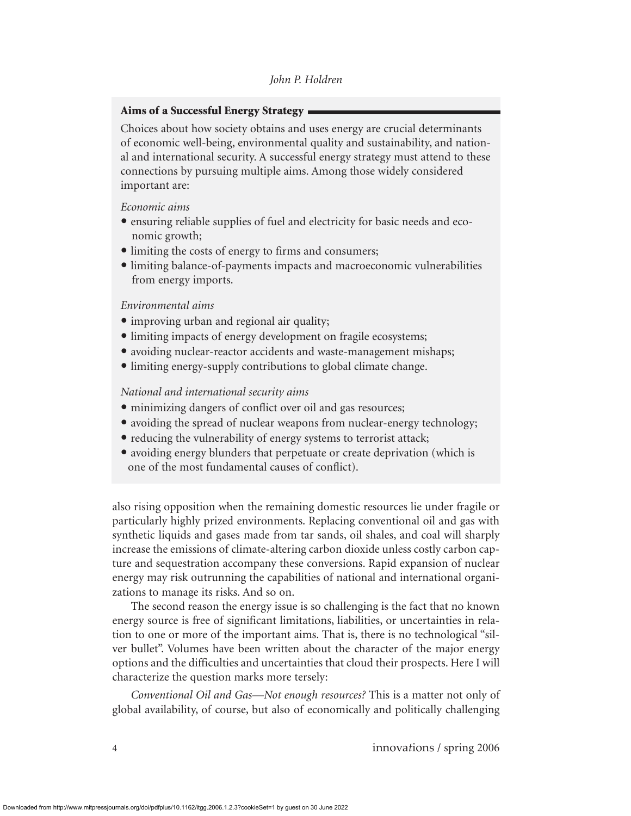# **Aims of a Successful Energy Strategy**

Choices about how society obtains and uses energy are crucial determinants of economic well-being, environmental quality and sustainability, and national and international security. A successful energy strategy must attend to these connections by pursuing multiple aims. Among those widely considered important are:

# *Economic aims*

- ensuring reliable supplies of fuel and electricity for basic needs and economic growth;
- limiting the costs of energy to firms and consumers;
- $\bullet$  limiting balance-of-payments impacts and macroeconomic vulnerabilities from energy imports.

# *Environmental aims*

- improving urban and regional air quality;
- limiting impacts of energy development on fragile ecosystems;
- avoiding nuclear-reactor accidents and waste-management mishaps;
- limiting energy-supply contributions to global climate change.

# *National and international security aims*

- minimizing dangers of conflict over oil and gas resources;
- avoiding the spread of nuclear weapons from nuclear-energy technology;
- reducing the vulnerability of energy systems to terrorist attack;
- avoiding energy blunders that perpetuate or create deprivation (which is one of the most fundamental causes of conflict).

also rising opposition when the remaining domestic resources lie under fragile or particularly highly prized environments. Replacing conventional oil and gas with synthetic liquids and gases made from tar sands, oil shales, and coal will sharply increase the emissions of climate-altering carbon dioxide unless costly carbon capture and sequestration accompany these conversions. Rapid expansion of nuclear energy may risk outrunning the capabilities of national and international organizations to manage its risks. And so on.

The second reason the energy issue is so challenging is the fact that no known energy source is free of significant limitations, liabilities, or uncertainties in relation to one or more of the important aims. That is, there is no technological "silver bullet". Volumes have been written about the character of the major energy options and the difficulties and uncertainties that cloud their prospects. Here I will characterize the question marks more tersely:

*Conventional Oil and Gas—Not enough resources?* This is a matter not only of global availability, of course, but also of economically and politically challenging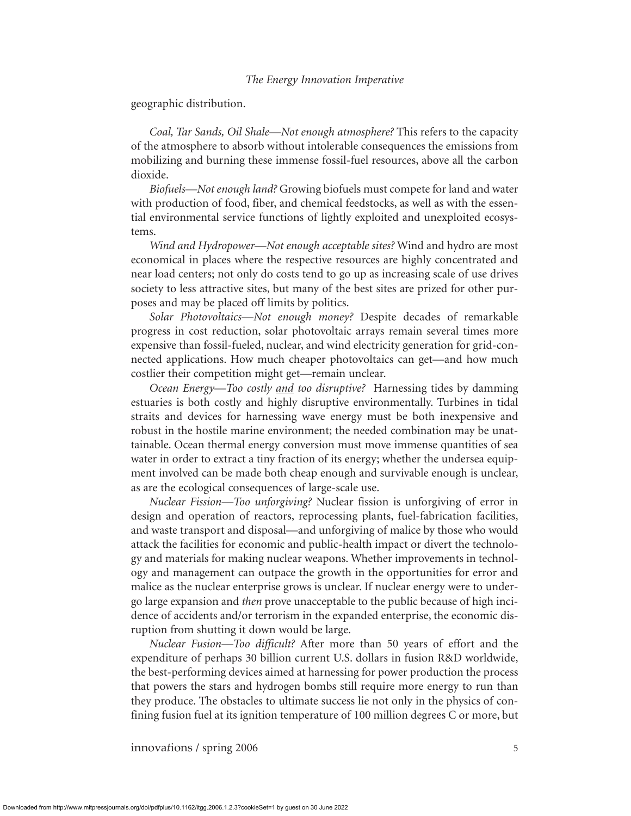geographic distribution.

*Coal, Tar Sands, Oil Shale—Not enough atmosphere?* This refers to the capacity of the atmosphere to absorb without intolerable consequences the emissions from mobilizing and burning these immense fossil-fuel resources, above all the carbon dioxide.

*Biofuels—Not enough land?* Growing biofuels must compete for land and water with production of food, fiber, and chemical feedstocks, as well as with the essential environmental service functions of lightly exploited and unexploited ecosystems.

*Wind and Hydropower—Not enough acceptable sites?* Wind and hydro are most economical in places where the respective resources are highly concentrated and near load centers; not only do costs tend to go up as increasing scale of use drives society to less attractive sites, but many of the best sites are prized for other purposes and may be placed off limits by politics.

*Solar Photovoltaics—Not enough money?* Despite decades of remarkable progress in cost reduction, solar photovoltaic arrays remain several times more expensive than fossil-fueled, nuclear, and wind electricity generation for grid-connected applications. How much cheaper photovoltaics can get—and how much costlier their competition might get—remain unclear.

*Ocean Energy—Too costly and too disruptive?* Harnessing tides by damming estuaries is both costly and highly disruptive environmentally. Turbines in tidal straits and devices for harnessing wave energy must be both inexpensive and robust in the hostile marine environment; the needed combination may be unattainable. Ocean thermal energy conversion must move immense quantities of sea water in order to extract a tiny fraction of its energy; whether the undersea equipment involved can be made both cheap enough and survivable enough is unclear, as are the ecological consequences of large-scale use.

*Nuclear Fission—Too unforgiving?* Nuclear fission is unforgiving of error in design and operation of reactors, reprocessing plants, fuel-fabrication facilities, and waste transport and disposal—and unforgiving of malice by those who would attack the facilities for economic and public-health impact or divert the technology and materials for making nuclear weapons. Whether improvements in technology and management can outpace the growth in the opportunities for error and malice as the nuclear enterprise grows is unclear. If nuclear energy were to undergo large expansion and *then* prove unacceptable to the public because of high incidence of accidents and/or terrorism in the expanded enterprise, the economic disruption from shutting it down would be large.

*Nuclear Fusion—Too difficult?* After more than 50 years of effort and the expenditure of perhaps 30 billion current U.S. dollars in fusion R&D worldwide, the best-performing devices aimed at harnessing for power production the process that powers the stars and hydrogen bombs still require more energy to run than they produce. The obstacles to ultimate success lie not only in the physics of confining fusion fuel at its ignition temperature of 100 million degrees C or more, but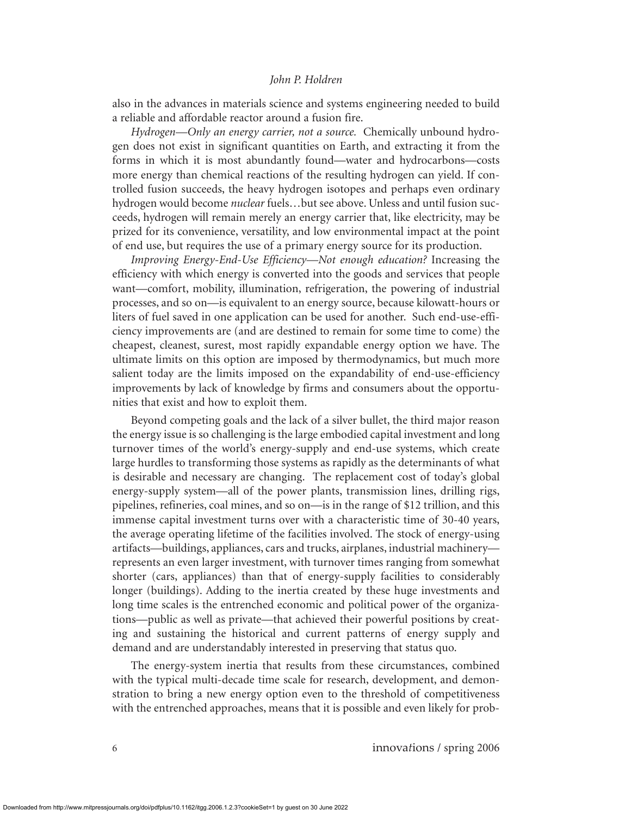also in the advances in materials science and systems engineering needed to build a reliable and affordable reactor around a fusion fire.

*Hydrogen—Only an energy carrier, not a source.* Chemically unbound hydrogen does not exist in significant quantities on Earth, and extracting it from the forms in which it is most abundantly found—water and hydrocarbons—costs more energy than chemical reactions of the resulting hydrogen can yield. If controlled fusion succeeds, the heavy hydrogen isotopes and perhaps even ordinary hydrogen would become *nuclear* fuels…but see above. Unless and until fusion succeeds, hydrogen will remain merely an energy carrier that, like electricity, may be prized for its convenience, versatility, and low environmental impact at the point of end use, but requires the use of a primary energy source for its production.

*Improving Energy-End-Use Efficiency—Not enough education?* Increasing the efficiency with which energy is converted into the goods and services that people want—comfort, mobility, illumination, refrigeration, the powering of industrial processes, and so on—is equivalent to an energy source, because kilowatt-hours or liters of fuel saved in one application can be used for another. Such end-use-efficiency improvements are (and are destined to remain for some time to come) the cheapest, cleanest, surest, most rapidly expandable energy option we have. The ultimate limits on this option are imposed by thermodynamics, but much more salient today are the limits imposed on the expandability of end-use-efficiency improvements by lack of knowledge by firms and consumers about the opportunities that exist and how to exploit them.

Beyond competing goals and the lack of a silver bullet, the third major reason the energy issue is so challenging is the large embodied capital investment and long turnover times of the world's energy-supply and end-use systems, which create large hurdles to transforming those systems as rapidly as the determinants of what is desirable and necessary are changing. The replacement cost of today's global energy-supply system—all of the power plants, transmission lines, drilling rigs, pipelines, refineries, coal mines, and so on—is in the range of \$12 trillion, and this immense capital investment turns over with a characteristic time of 30-40 years, the average operating lifetime of the facilities involved. The stock of energy-using artifacts—buildings, appliances, cars and trucks, airplanes, industrial machinery represents an even larger investment, with turnover times ranging from somewhat shorter (cars, appliances) than that of energy-supply facilities to considerably longer (buildings). Adding to the inertia created by these huge investments and long time scales is the entrenched economic and political power of the organizations—public as well as private—that achieved their powerful positions by creating and sustaining the historical and current patterns of energy supply and demand and are understandably interested in preserving that status quo.

The energy-system inertia that results from these circumstances, combined with the typical multi-decade time scale for research, development, and demonstration to bring a new energy option even to the threshold of competitiveness with the entrenched approaches, means that it is possible and even likely for prob-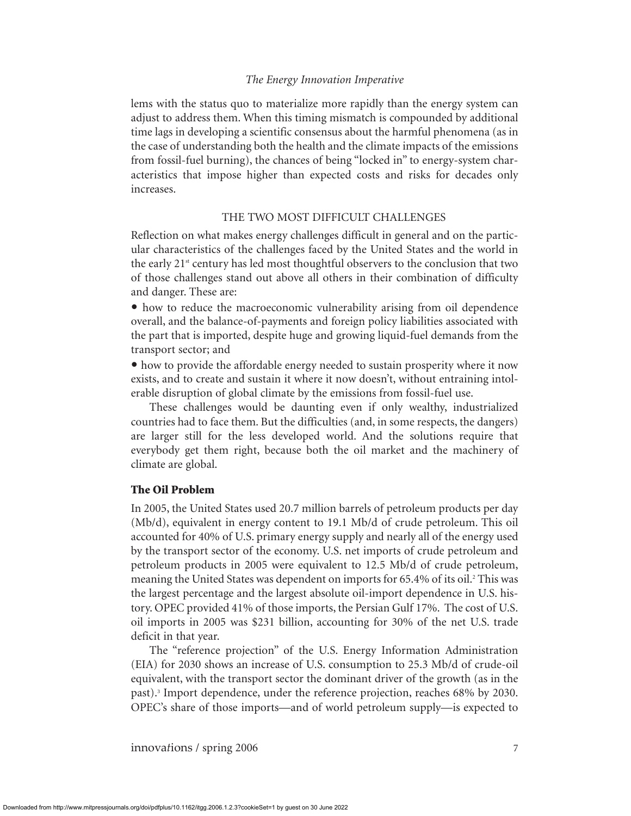lems with the status quo to materialize more rapidly than the energy system can adjust to address them. When this timing mismatch is compounded by additional time lags in developing a scientific consensus about the harmful phenomena (as in the case of understanding both the health and the climate impacts of the emissions from fossil-fuel burning), the chances of being "locked in" to energy-system characteristics that impose higher than expected costs and risks for decades only increases.

# THE TWO MOST DIFFICULT CHALLENGES

Reflection on what makes energy challenges difficult in general and on the particular characteristics of the challenges faced by the United States and the world in the early  $21<sup>st</sup>$  century has led most thoughtful observers to the conclusion that two of those challenges stand out above all others in their combination of difficulty and danger. These are:

• how to reduce the macroeconomic vulnerability arising from oil dependence overall, and the balance-of-payments and foreign policy liabilities associated with the part that is imported, despite huge and growing liquid-fuel demands from the transport sector; and

• how to provide the affordable energy needed to sustain prosperity where it now exists, and to create and sustain it where it now doesn't, without entraining intolerable disruption of global climate by the emissions from fossil-fuel use.

These challenges would be daunting even if only wealthy, industrialized countries had to face them. But the difficulties (and, in some respects, the dangers) are larger still for the less developed world. And the solutions require that everybody get them right, because both the oil market and the machinery of climate are global.

### **The Oil Problem**

In 2005, the United States used 20.7 million barrels of petroleum products per day (Mb/d), equivalent in energy content to 19.1 Mb/d of crude petroleum. This oil accounted for 40% of U.S. primary energy supply and nearly all of the energy used by the transport sector of the economy. U.S. net imports of crude petroleum and petroleum products in 2005 were equivalent to 12.5 Mb/d of crude petroleum, meaning the United States was dependent on imports for 65.4% of its oil.<sup>2</sup> This was the largest percentage and the largest absolute oil-import dependence in U.S. history. OPEC provided 41% of those imports, the Persian Gulf 17%. The cost of U.S. oil imports in 2005 was \$231 billion, accounting for 30% of the net U.S. trade deficit in that year.

The "reference projection" of the U.S. Energy Information Administration (EIA) for 2030 shows an increase of U.S. consumption to 25.3 Mb/d of crude-oil equivalent, with the transport sector the dominant driver of the growth (as in the past).<sup>3</sup> Import dependence, under the reference projection, reaches 68% by 2030. OPEC's share of those imports—and of world petroleum supply—is expected to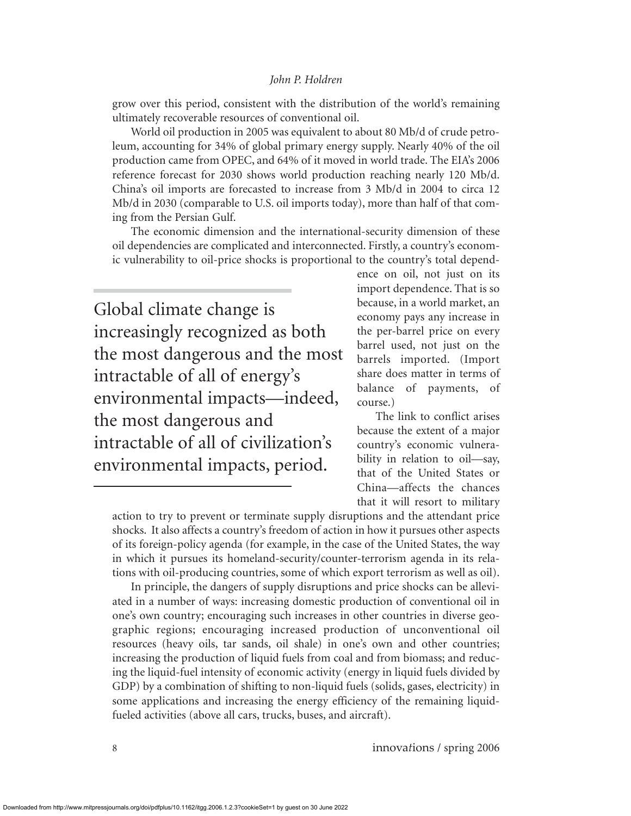grow over this period, consistent with the distribution of the world's remaining ultimately recoverable resources of conventional oil.

World oil production in 2005 was equivalent to about 80 Mb/d of crude petroleum, accounting for 34% of global primary energy supply. Nearly 40% of the oil production came from OPEC, and 64% of it moved in world trade. The EIA's 2006 reference forecast for 2030 shows world production reaching nearly 120 Mb/d. China's oil imports are forecasted to increase from 3 Mb/d in 2004 to circa 12 Mb/d in 2030 (comparable to U.S. oil imports today), more than half of that coming from the Persian Gulf.

The economic dimension and the international-security dimension of these oil dependencies are complicated and interconnected. Firstly, a country's economic vulnerability to oil-price shocks is proportional to the country's total depend-

Global climate change is increasingly recognized as both the most dangerous and the most intractable of all of energy's environmental impacts—indeed, the most dangerous and intractable of all of civilization's environmental impacts, period.

ence on oil, not just on its import dependence. That is so because, in a world market, an economy pays any increase in the per-barrel price on every barrel used, not just on the barrels imported. (Import share does matter in terms of balance of payments, of course.)

The link to conflict arises because the extent of a major country's economic vulnerability in relation to oil—say, that of the United States or China—affects the chances that it will resort to military

action to try to prevent or terminate supply disruptions and the attendant price shocks. It also affects a country's freedom of action in how it pursues other aspects of its foreign-policy agenda (for example, in the case of the United States, the way in which it pursues its homeland-security/counter-terrorism agenda in its relations with oil-producing countries, some of which export terrorism as well as oil).

In principle, the dangers of supply disruptions and price shocks can be alleviated in a number of ways: increasing domestic production of conventional oil in one's own country; encouraging such increases in other countries in diverse geographic regions; encouraging increased production of unconventional oil resources (heavy oils, tar sands, oil shale) in one's own and other countries; increasing the production of liquid fuels from coal and from biomass; and reducing the liquid-fuel intensity of economic activity (energy in liquid fuels divided by GDP) by a combination of shifting to non-liquid fuels (solids, gases, electricity) in some applications and increasing the energy efficiency of the remaining liquidfueled activities (above all cars, trucks, buses, and aircraft).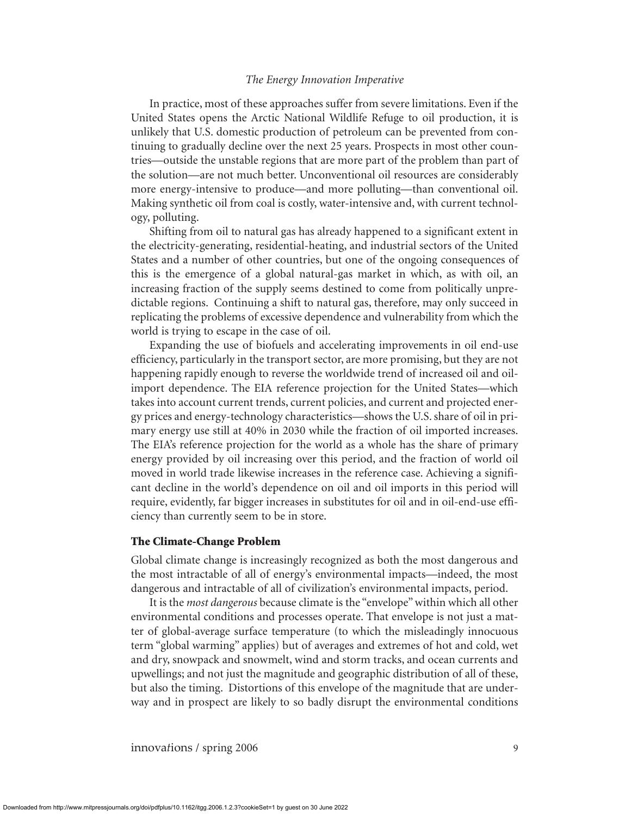In practice, most of these approaches suffer from severe limitations. Even if the United States opens the Arctic National Wildlife Refuge to oil production, it is unlikely that U.S. domestic production of petroleum can be prevented from continuing to gradually decline over the next 25 years. Prospects in most other countries—outside the unstable regions that are more part of the problem than part of the solution—are not much better. Unconventional oil resources are considerably more energy-intensive to produce—and more polluting—than conventional oil. Making synthetic oil from coal is costly, water-intensive and, with current technology, polluting.

Shifting from oil to natural gas has already happened to a significant extent in the electricity-generating, residential-heating, and industrial sectors of the United States and a number of other countries, but one of the ongoing consequences of this is the emergence of a global natural-gas market in which, as with oil, an increasing fraction of the supply seems destined to come from politically unpredictable regions. Continuing a shift to natural gas, therefore, may only succeed in replicating the problems of excessive dependence and vulnerability from which the world is trying to escape in the case of oil.

Expanding the use of biofuels and accelerating improvements in oil end-use efficiency, particularly in the transport sector, are more promising, but they are not happening rapidly enough to reverse the worldwide trend of increased oil and oilimport dependence. The EIA reference projection for the United States—which takes into account current trends, current policies, and current and projected energy prices and energy-technology characteristics—shows the U.S. share of oil in primary energy use still at 40% in 2030 while the fraction of oil imported increases. The EIA's reference projection for the world as a whole has the share of primary energy provided by oil increasing over this period, and the fraction of world oil moved in world trade likewise increases in the reference case. Achieving a significant decline in the world's dependence on oil and oil imports in this period will require, evidently, far bigger increases in substitutes for oil and in oil-end-use efficiency than currently seem to be in store.

#### **The Climate-Change Problem**

Global climate change is increasingly recognized as both the most dangerous and the most intractable of all of energy's environmental impacts—indeed, the most dangerous and intractable of all of civilization's environmental impacts, period.

It is the *most dangerous* because climate is the "envelope" within which all other environmental conditions and processes operate. That envelope is not just a matter of global-average surface temperature (to which the misleadingly innocuous term "global warming" applies) but of averages and extremes of hot and cold, wet and dry, snowpack and snowmelt, wind and storm tracks, and ocean currents and upwellings; and not just the magnitude and geographic distribution of all of these, but also the timing. Distortions of this envelope of the magnitude that are underway and in prospect are likely to so badly disrupt the environmental conditions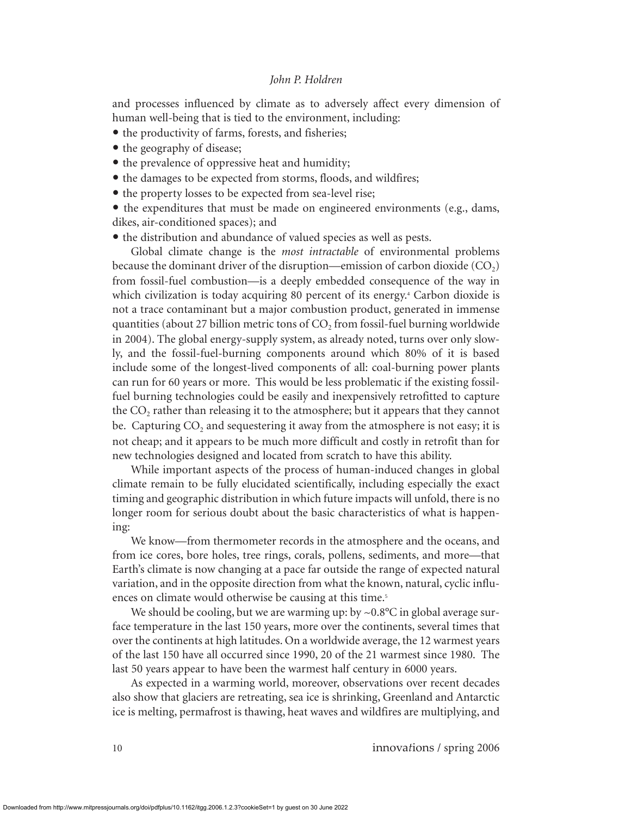and processes influenced by climate as to adversely affect every dimension of human well-being that is tied to the environment, including:

- the productivity of farms, forests, and fisheries;
- the geography of disease;
- $\bullet$  the prevalence of oppressive heat and humidity;
- the damages to be expected from storms, floods, and wildfires;
- the property losses to be expected from sea-level rise;
- $\bullet$  the expenditures that must be made on engineered environments (e.g., dams, dikes, air-conditioned spaces); and

• the distribution and abundance of valued species as well as pests.

Global climate change is the *most intractable* of environmental problems because the dominant driver of the disruption—emission of carbon dioxide  $(CO<sub>2</sub>)$ from fossil-fuel combustion—is a deeply embedded consequence of the way in which civilization is today acquiring 80 percent of its energy.<sup>4</sup> Carbon dioxide is not a trace contaminant but a major combustion product, generated in immense quantities (about 27 billion metric tons of  $CO<sub>2</sub>$  from fossil-fuel burning worldwide in 2004). The global energy-supply system, as already noted, turns over only slowly, and the fossil-fuel-burning components around which 80% of it is based include some of the longest-lived components of all: coal-burning power plants can run for 60 years or more. This would be less problematic if the existing fossilfuel burning technologies could be easily and inexpensively retrofitted to capture the  $CO<sub>2</sub>$  rather than releasing it to the atmosphere; but it appears that they cannot be. Capturing  $CO<sub>2</sub>$  and sequestering it away from the atmosphere is not easy; it is not cheap; and it appears to be much more difficult and costly in retrofit than for new technologies designed and located from scratch to have this ability.

While important aspects of the process of human-induced changes in global climate remain to be fully elucidated scientifically, including especially the exact timing and geographic distribution in which future impacts will unfold, there is no longer room for serious doubt about the basic characteristics of what is happening:

We know—from thermometer records in the atmosphere and the oceans, and from ice cores, bore holes, tree rings, corals, pollens, sediments, and more—that Earth's climate is now changing at a pace far outside the range of expected natural variation, and in the opposite direction from what the known, natural, cyclic influences on climate would otherwise be causing at this time.<sup>5</sup>

We should be cooling, but we are warming up: by  $\sim 0.8$ °C in global average surface temperature in the last 150 years, more over the continents, several times that over the continents at high latitudes. On a worldwide average, the 12 warmest years of the last 150 have all occurred since 1990, 20 of the 21 warmest since 1980. The last 50 years appear to have been the warmest half century in 6000 years.

As expected in a warming world, moreover, observations over recent decades also show that glaciers are retreating, sea ice is shrinking, Greenland and Antarctic ice is melting, permafrost is thawing, heat waves and wildfires are multiplying, and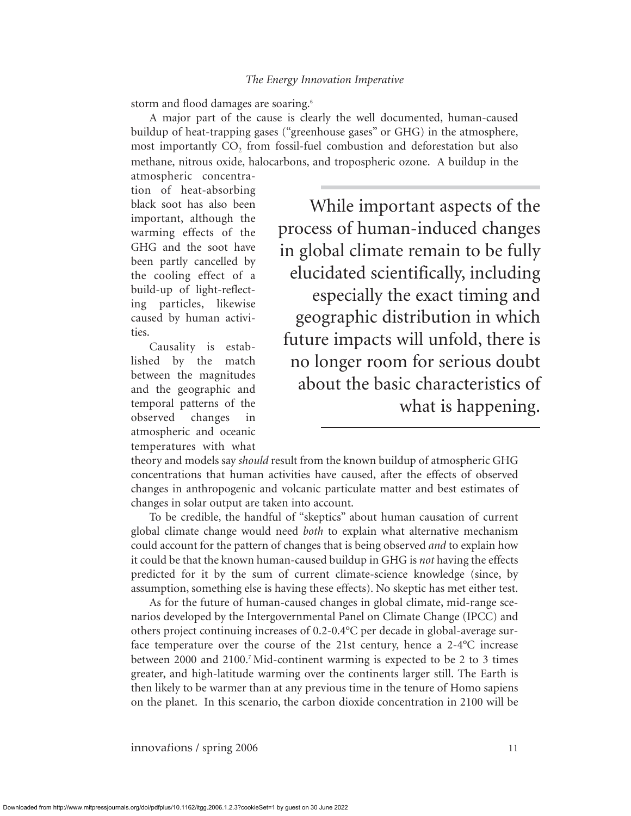storm and flood damages are soaring.<sup>6</sup>

A major part of the cause is clearly the well documented, human-caused buildup of heat-trapping gases ("greenhouse gases" or GHG) in the atmosphere, most importantly  $CO<sub>2</sub>$  from fossil-fuel combustion and deforestation but also methane, nitrous oxide, halocarbons, and tropospheric ozone. A buildup in the

atmospheric concentration of heat-absorbing black soot has also been important, although the warming effects of the GHG and the soot have been partly cancelled by the cooling effect of a build-up of light-reflecting particles, likewise caused by human activities.

Causality is established by the match between the magnitudes and the geographic and temporal patterns of the observed changes in atmospheric and oceanic temperatures with what

While important aspects of the process of human-induced changes in global climate remain to be fully elucidated scientifically, including especially the exact timing and geographic distribution in which future impacts will unfold, there is no longer room for serious doubt about the basic characteristics of what is happening.

theory and models say *should* result from the known buildup of atmospheric GHG concentrations that human activities have caused, after the effects of observed changes in anthropogenic and volcanic particulate matter and best estimates of changes in solar output are taken into account.

To be credible, the handful of "skeptics" about human causation of current global climate change would need *both* to explain what alternative mechanism could account for the pattern of changes that is being observed *and* to explain how it could be that the known human-caused buildup in GHG is *not* having the effects predicted for it by the sum of current climate-science knowledge (since, by assumption, something else is having these effects). No skeptic has met either test.

As for the future of human-caused changes in global climate, mid-range scenarios developed by the Intergovernmental Panel on Climate Change (IPCC) and others project continuing increases of 0.2-0.4°C per decade in global-average surface temperature over the course of the 21st century, hence a 2-4°C increase between 2000 and 2100.7 Mid-continent warming is expected to be 2 to 3 times greater, and high-latitude warming over the continents larger still. The Earth is then likely to be warmer than at any previous time in the tenure of Homo sapiens on the planet. In this scenario, the carbon dioxide concentration in 2100 will be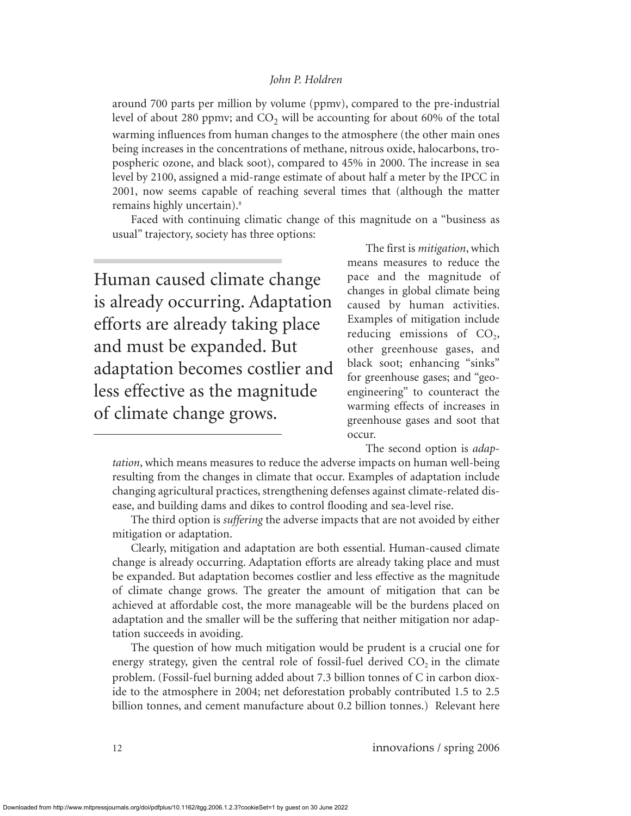around 700 parts per million by volume (ppmv), compared to the pre-industrial level of about 280 ppmv; and  $CO<sub>2</sub>$  will be accounting for about 60% of the total warming influences from human changes to the atmosphere (the other main ones being increases in the concentrations of methane, nitrous oxide, halocarbons, tropospheric ozone, and black soot), compared to 45% in 2000. The increase in sea level by 2100, assigned a mid-range estimate of about half a meter by the IPCC in 2001, now seems capable of reaching several times that (although the matter remains highly uncertain).<sup>8</sup>

Faced with continuing climatic change of this magnitude on a "business as usual" trajectory, society has three options:

Human caused climate change is already occurring. Adaptation efforts are already taking place and must be expanded. But adaptation becomes costlier and less effective as the magnitude of climate change grows.

The first is *mitigation*, which means measures to reduce the pace and the magnitude of changes in global climate being caused by human activities. Examples of mitigation include reducing emissions of  $CO<sub>2</sub>$ , other greenhouse gases, and black soot; enhancing "sinks" for greenhouse gases; and "geoengineering" to counteract the warming effects of increases in greenhouse gases and soot that occur.

The second option is *adap-*

*tation*, which means measures to reduce the adverse impacts on human well-being resulting from the changes in climate that occur. Examples of adaptation include changing agricultural practices, strengthening defenses against climate-related disease, and building dams and dikes to control flooding and sea-level rise.

The third option is *suffering* the adverse impacts that are not avoided by either mitigation or adaptation.

Clearly, mitigation and adaptation are both essential. Human-caused climate change is already occurring. Adaptation efforts are already taking place and must be expanded. But adaptation becomes costlier and less effective as the magnitude of climate change grows. The greater the amount of mitigation that can be achieved at affordable cost, the more manageable will be the burdens placed on adaptation and the smaller will be the suffering that neither mitigation nor adaptation succeeds in avoiding.

The question of how much mitigation would be prudent is a crucial one for energy strategy, given the central role of fossil-fuel derived  $CO<sub>2</sub>$  in the climate problem. (Fossil-fuel burning added about 7.3 billion tonnes of C in carbon dioxide to the atmosphere in 2004; net deforestation probably contributed 1.5 to 2.5 billion tonnes, and cement manufacture about 0.2 billion tonnes.) Relevant here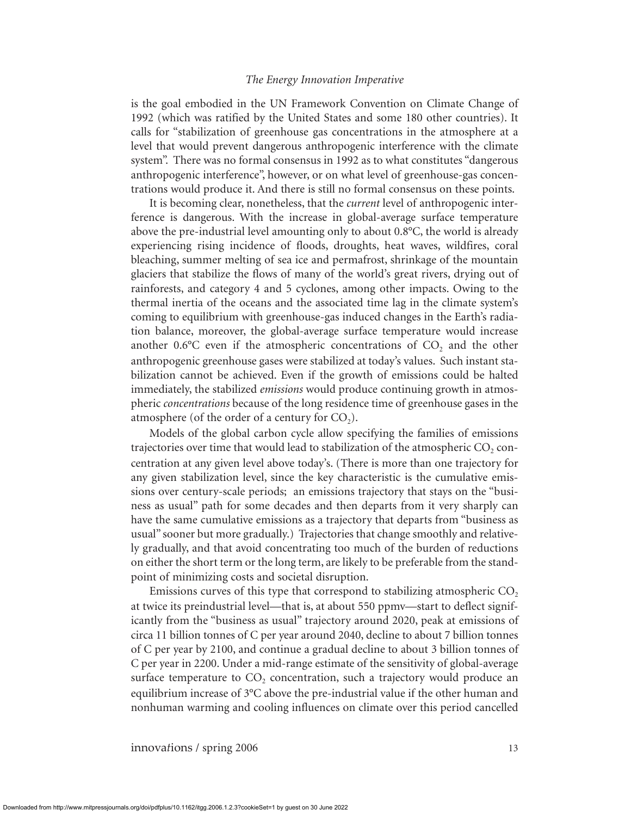is the goal embodied in the UN Framework Convention on Climate Change of 1992 (which was ratified by the United States and some 180 other countries). It calls for "stabilization of greenhouse gas concentrations in the atmosphere at a level that would prevent dangerous anthropogenic interference with the climate system". There was no formal consensus in 1992 as to what constitutes "dangerous anthropogenic interference", however, or on what level of greenhouse-gas concentrations would produce it. And there is still no formal consensus on these points.

It is becoming clear, nonetheless, that the *current* level of anthropogenic interference is dangerous. With the increase in global-average surface temperature above the pre-industrial level amounting only to about 0.8°C, the world is already experiencing rising incidence of floods, droughts, heat waves, wildfires, coral bleaching, summer melting of sea ice and permafrost, shrinkage of the mountain glaciers that stabilize the flows of many of the world's great rivers, drying out of rainforests, and category 4 and 5 cyclones, among other impacts. Owing to the thermal inertia of the oceans and the associated time lag in the climate system's coming to equilibrium with greenhouse-gas induced changes in the Earth's radiation balance, moreover, the global-average surface temperature would increase another  $0.6^{\circ}$ C even if the atmospheric concentrations of CO<sub>2</sub> and the other anthropogenic greenhouse gases were stabilized at today's values. Such instant stabilization cannot be achieved. Even if the growth of emissions could be halted immediately, the stabilized *emissions* would produce continuing growth in atmospheric *concentrations* because of the long residence time of greenhouse gases in the atmosphere (of the order of a century for  $CO<sub>2</sub>$ ).

Models of the global carbon cycle allow specifying the families of emissions trajectories over time that would lead to stabilization of the atmospheric  $CO<sub>2</sub>$  concentration at any given level above today's. (There is more than one trajectory for any given stabilization level, since the key characteristic is the cumulative emissions over century-scale periods; an emissions trajectory that stays on the "business as usual" path for some decades and then departs from it very sharply can have the same cumulative emissions as a trajectory that departs from "business as usual" sooner but more gradually.) Trajectories that change smoothly and relatively gradually, and that avoid concentrating too much of the burden of reductions on either the short term or the long term, are likely to be preferable from the standpoint of minimizing costs and societal disruption.

Emissions curves of this type that correspond to stabilizing atmospheric  $CO<sub>2</sub>$ at twice its preindustrial level—that is, at about 550 ppmv—start to deflect significantly from the "business as usual" trajectory around 2020, peak at emissions of circa 11 billion tonnes of C per year around 2040, decline to about 7 billion tonnes of C per year by 2100, and continue a gradual decline to about 3 billion tonnes of C per year in 2200. Under a mid-range estimate of the sensitivity of global-average surface temperature to  $CO<sub>2</sub>$  concentration, such a trajectory would produce an equilibrium increase of 3°C above the pre-industrial value if the other human and nonhuman warming and cooling influences on climate over this period cancelled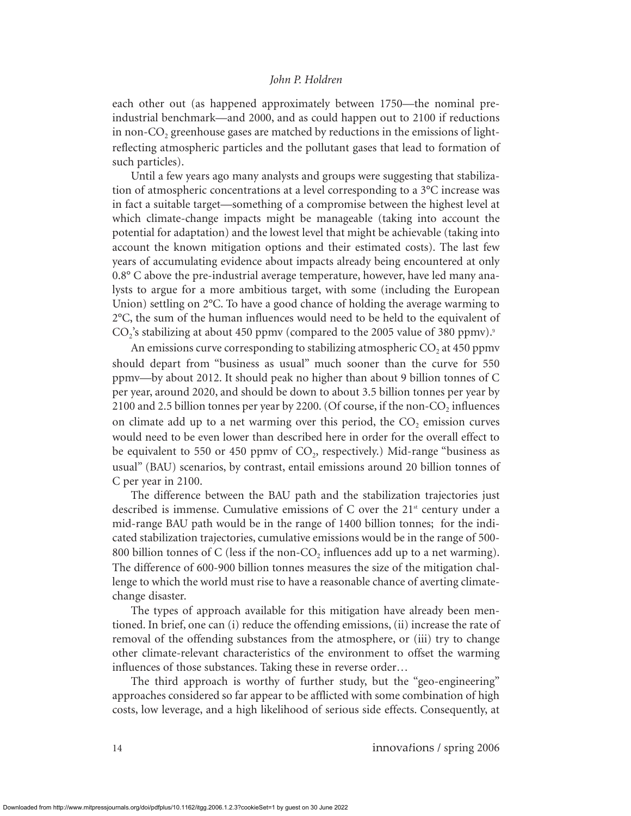each other out (as happened approximately between 1750—the nominal preindustrial benchmark—and 2000, and as could happen out to 2100 if reductions in non- $CO<sub>2</sub>$  greenhouse gases are matched by reductions in the emissions of lightreflecting atmospheric particles and the pollutant gases that lead to formation of such particles).

Until a few years ago many analysts and groups were suggesting that stabilization of atmospheric concentrations at a level corresponding to a 3°C increase was in fact a suitable target—something of a compromise between the highest level at which climate-change impacts might be manageable (taking into account the potential for adaptation) and the lowest level that might be achievable (taking into account the known mitigation options and their estimated costs). The last few years of accumulating evidence about impacts already being encountered at only 0.8° C above the pre-industrial average temperature, however, have led many analysts to argue for a more ambitious target, with some (including the European Union) settling on 2°C. To have a good chance of holding the average warming to 2°C, the sum of the human influences would need to be held to the equivalent of  $CO<sub>2</sub>$ 's stabilizing at about 450 ppmv (compared to the 2005 value of 380 ppmv).<sup>9</sup>

An emissions curve corresponding to stabilizing atmospheric  $CO<sub>2</sub>$  at 450 ppmv should depart from "business as usual" much sooner than the curve for 550 ppmv—by about 2012. It should peak no higher than about 9 billion tonnes of C per year, around 2020, and should be down to about 3.5 billion tonnes per year by 2100 and 2.5 billion tonnes per year by 2200. (Of course, if the non- $CO<sub>2</sub>$  influences on climate add up to a net warming over this period, the  $CO<sub>2</sub>$  emission curves would need to be even lower than described here in order for the overall effect to be equivalent to 550 or 450 ppmv of  $CO<sub>2</sub>$ , respectively.) Mid-range "business as usual" (BAU) scenarios, by contrast, entail emissions around 20 billion tonnes of C per year in 2100.

The difference between the BAU path and the stabilization trajectories just described is immense. Cumulative emissions of  $C$  over the  $21<sup>st</sup>$  century under a mid-range BAU path would be in the range of 1400 billion tonnes; for the indicated stabilization trajectories, cumulative emissions would be in the range of 500- 800 billion tonnes of C (less if the non- $CO<sub>2</sub>$  influences add up to a net warming). The difference of 600-900 billion tonnes measures the size of the mitigation challenge to which the world must rise to have a reasonable chance of averting climatechange disaster.

The types of approach available for this mitigation have already been mentioned. In brief, one can (i) reduce the offending emissions, (ii) increase the rate of removal of the offending substances from the atmosphere, or (iii) try to change other climate-relevant characteristics of the environment to offset the warming influences of those substances. Taking these in reverse order…

The third approach is worthy of further study, but the "geo-engineering" approaches considered so far appear to be afflicted with some combination of high costs, low leverage, and a high likelihood of serious side effects. Consequently, at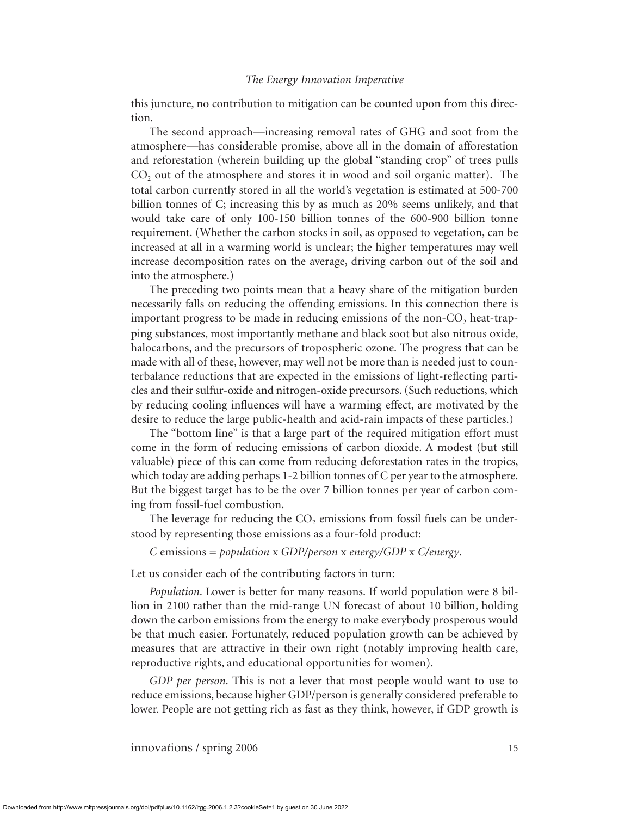this juncture, no contribution to mitigation can be counted upon from this direction.

The second approach—increasing removal rates of GHG and soot from the atmosphere—has considerable promise, above all in the domain of afforestation and reforestation (wherein building up the global "standing crop" of trees pulls  $CO<sub>2</sub>$  out of the atmosphere and stores it in wood and soil organic matter). The total carbon currently stored in all the world's vegetation is estimated at 500-700 billion tonnes of C; increasing this by as much as 20% seems unlikely, and that would take care of only 100-150 billion tonnes of the 600-900 billion tonne requirement. (Whether the carbon stocks in soil, as opposed to vegetation, can be increased at all in a warming world is unclear; the higher temperatures may well increase decomposition rates on the average, driving carbon out of the soil and into the atmosphere.)

The preceding two points mean that a heavy share of the mitigation burden necessarily falls on reducing the offending emissions. In this connection there is important progress to be made in reducing emissions of the non- $CO<sub>2</sub>$  heat-trapping substances, most importantly methane and black soot but also nitrous oxide, halocarbons, and the precursors of tropospheric ozone. The progress that can be made with all of these, however, may well not be more than is needed just to counterbalance reductions that are expected in the emissions of light-reflecting particles and their sulfur-oxide and nitrogen-oxide precursors. (Such reductions, which by reducing cooling influences will have a warming effect, are motivated by the desire to reduce the large public-health and acid-rain impacts of these particles.)

The "bottom line" is that a large part of the required mitigation effort must come in the form of reducing emissions of carbon dioxide. A modest (but still valuable) piece of this can come from reducing deforestation rates in the tropics, which today are adding perhaps 1-2 billion tonnes of C per year to the atmosphere. But the biggest target has to be the over 7 billion tonnes per year of carbon coming from fossil-fuel combustion.

The leverage for reducing the  $CO<sub>2</sub>$  emissions from fossil fuels can be understood by representing those emissions as a four-fold product:

*C* emissions = *population* x *GDP/person* x *energy/GDP* x *C/energy*.

Let us consider each of the contributing factors in turn:

*Population*. Lower is better for many reasons. If world population were 8 billion in 2100 rather than the mid-range UN forecast of about 10 billion, holding down the carbon emissions from the energy to make everybody prosperous would be that much easier. Fortunately, reduced population growth can be achieved by measures that are attractive in their own right (notably improving health care, reproductive rights, and educational opportunities for women).

*GDP per person*. This is not a lever that most people would want to use to reduce emissions, because higher GDP/person is generally considered preferable to lower. People are not getting rich as fast as they think, however, if GDP growth is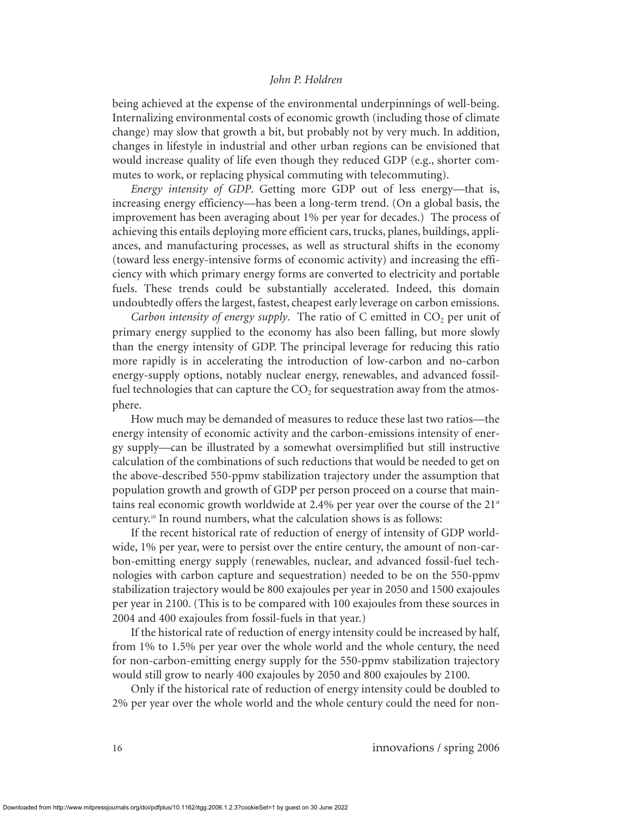being achieved at the expense of the environmental underpinnings of well-being. Internalizing environmental costs of economic growth (including those of climate change) may slow that growth a bit, but probably not by very much. In addition, changes in lifestyle in industrial and other urban regions can be envisioned that would increase quality of life even though they reduced GDP (e.g., shorter commutes to work, or replacing physical commuting with telecommuting).

*Energy intensity of GDP*. Getting more GDP out of less energy—that is, increasing energy efficiency—has been a long-term trend. (On a global basis, the improvement has been averaging about 1% per year for decades.) The process of achieving this entails deploying more efficient cars, trucks, planes, buildings, appliances, and manufacturing processes, as well as structural shifts in the economy (toward less energy-intensive forms of economic activity) and increasing the efficiency with which primary energy forms are converted to electricity and portable fuels. These trends could be substantially accelerated. Indeed, this domain undoubtedly offers the largest, fastest, cheapest early leverage on carbon emissions.

*Carbon intensity of energy supply.* The ratio of C emitted in  $CO<sub>2</sub>$  per unit of primary energy supplied to the economy has also been falling, but more slowly than the energy intensity of GDP. The principal leverage for reducing this ratio more rapidly is in accelerating the introduction of low-carbon and no-carbon energy-supply options, notably nuclear energy, renewables, and advanced fossilfuel technologies that can capture the  $CO<sub>2</sub>$  for sequestration away from the atmosphere.

How much may be demanded of measures to reduce these last two ratios—the energy intensity of economic activity and the carbon-emissions intensity of energy supply—can be illustrated by a somewhat oversimplified but still instructive calculation of the combinations of such reductions that would be needed to get on the above-described 550-ppmv stabilization trajectory under the assumption that population growth and growth of GDP per person proceed on a course that maintains real economic growth worldwide at 2.4% per year over the course of the  $21<sup>st</sup>$ century.<sup>10</sup> In round numbers, what the calculation shows is as follows:

If the recent historical rate of reduction of energy of intensity of GDP worldwide, 1% per year, were to persist over the entire century, the amount of non-carbon-emitting energy supply (renewables, nuclear, and advanced fossil-fuel technologies with carbon capture and sequestration) needed to be on the 550-ppmv stabilization trajectory would be 800 exajoules per year in 2050 and 1500 exajoules per year in 2100. (This is to be compared with 100 exajoules from these sources in 2004 and 400 exajoules from fossil-fuels in that year.)

If the historical rate of reduction of energy intensity could be increased by half, from 1% to 1.5% per year over the whole world and the whole century, the need for non-carbon-emitting energy supply for the 550-ppmv stabilization trajectory would still grow to nearly 400 exajoules by 2050 and 800 exajoules by 2100.

Only if the historical rate of reduction of energy intensity could be doubled to 2% per year over the whole world and the whole century could the need for non-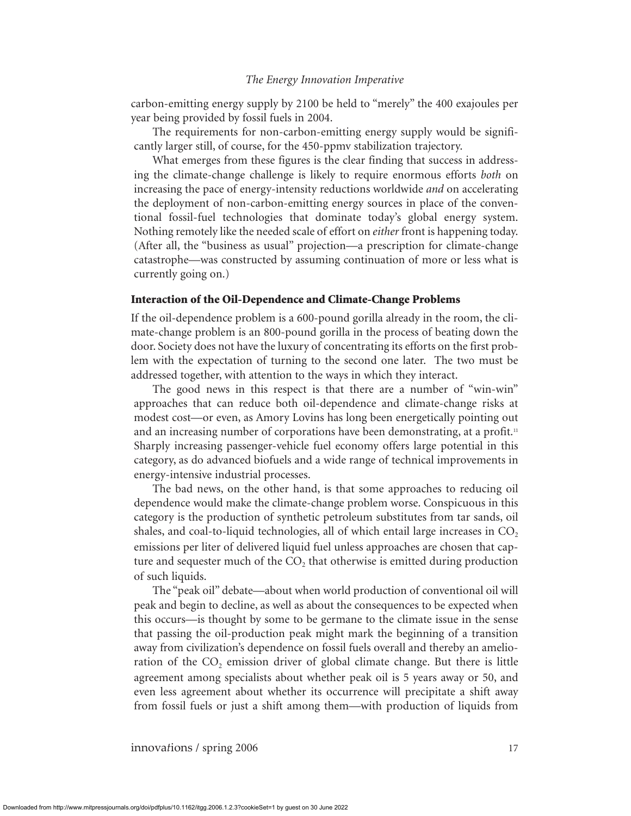carbon-emitting energy supply by 2100 be held to "merely" the 400 exajoules per year being provided by fossil fuels in 2004.

The requirements for non-carbon-emitting energy supply would be significantly larger still, of course, for the 450-ppmv stabilization trajectory.

What emerges from these figures is the clear finding that success in addressing the climate-change challenge is likely to require enormous efforts *both* on increasing the pace of energy-intensity reductions worldwide *and* on accelerating the deployment of non-carbon-emitting energy sources in place of the conventional fossil-fuel technologies that dominate today's global energy system. Nothing remotely like the needed scale of effort on *either* front is happening today. (After all, the "business as usual" projection—a prescription for climate-change catastrophe—was constructed by assuming continuation of more or less what is currently going on.)

## **Interaction of the Oil-Dependence and Climate-Change Problems**

If the oil-dependence problem is a 600-pound gorilla already in the room, the climate-change problem is an 800-pound gorilla in the process of beating down the door. Society does not have the luxury of concentrating its efforts on the first problem with the expectation of turning to the second one later. The two must be addressed together, with attention to the ways in which they interact.

The good news in this respect is that there are a number of "win-win" approaches that can reduce both oil-dependence and climate-change risks at modest cost—or even, as Amory Lovins has long been energetically pointing out and an increasing number of corporations have been demonstrating, at a profit.<sup>11</sup> Sharply increasing passenger-vehicle fuel economy offers large potential in this category, as do advanced biofuels and a wide range of technical improvements in energy-intensive industrial processes.

The bad news, on the other hand, is that some approaches to reducing oil dependence would make the climate-change problem worse. Conspicuous in this category is the production of synthetic petroleum substitutes from tar sands, oil shales, and coal-to-liquid technologies, all of which entail large increases in  $CO<sub>2</sub>$ emissions per liter of delivered liquid fuel unless approaches are chosen that capture and sequester much of the  $CO<sub>2</sub>$  that otherwise is emitted during production of such liquids.

The "peak oil" debate—about when world production of conventional oil will peak and begin to decline, as well as about the consequences to be expected when this occurs—is thought by some to be germane to the climate issue in the sense that passing the oil-production peak might mark the beginning of a transition away from civilization's dependence on fossil fuels overall and thereby an amelioration of the  $CO<sub>2</sub>$  emission driver of global climate change. But there is little agreement among specialists about whether peak oil is 5 years away or 50, and even less agreement about whether its occurrence will precipitate a shift away from fossil fuels or just a shift among them—with production of liquids from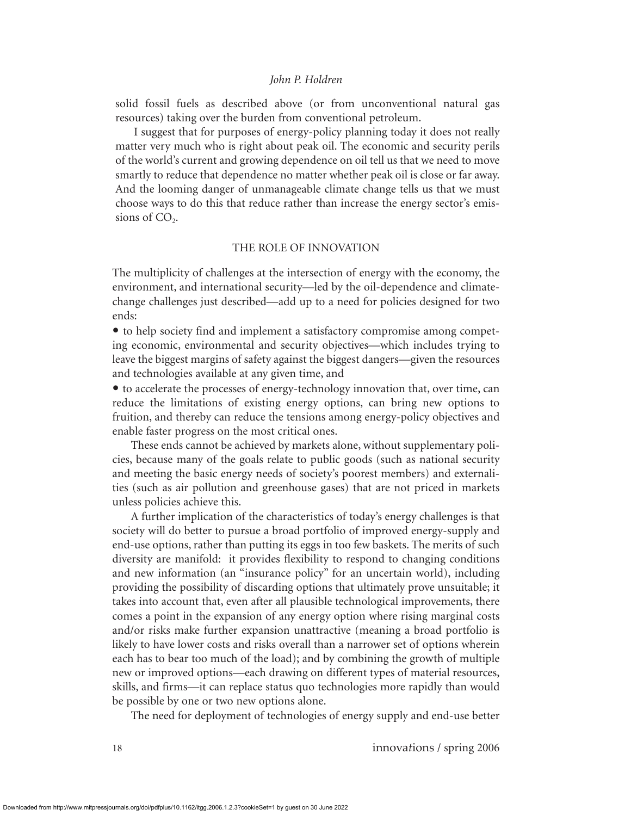solid fossil fuels as described above (or from unconventional natural gas resources) taking over the burden from conventional petroleum.

I suggest that for purposes of energy-policy planning today it does not really matter very much who is right about peak oil. The economic and security perils of the world's current and growing dependence on oil tell us that we need to move smartly to reduce that dependence no matter whether peak oil is close or far away. And the looming danger of unmanageable climate change tells us that we must choose ways to do this that reduce rather than increase the energy sector's emissions of  $CO<sub>2</sub>$ .

#### THE ROLE OF INNOVATION

The multiplicity of challenges at the intersection of energy with the economy, the environment, and international security—led by the oil-dependence and climatechange challenges just described—add up to a need for policies designed for two ends:

• to help society find and implement a satisfactory compromise among competing economic, environmental and security objectives—which includes trying to leave the biggest margins of safety against the biggest dangers—given the resources and technologies available at any given time, and

y to accelerate the processes of energy-technology innovation that, over time, can reduce the limitations of existing energy options, can bring new options to fruition, and thereby can reduce the tensions among energy-policy objectives and enable faster progress on the most critical ones.

These ends cannot be achieved by markets alone, without supplementary policies, because many of the goals relate to public goods (such as national security and meeting the basic energy needs of society's poorest members) and externalities (such as air pollution and greenhouse gases) that are not priced in markets unless policies achieve this.

A further implication of the characteristics of today's energy challenges is that society will do better to pursue a broad portfolio of improved energy-supply and end-use options, rather than putting its eggs in too few baskets. The merits of such diversity are manifold: it provides flexibility to respond to changing conditions and new information (an "insurance policy" for an uncertain world), including providing the possibility of discarding options that ultimately prove unsuitable; it takes into account that, even after all plausible technological improvements, there comes a point in the expansion of any energy option where rising marginal costs and/or risks make further expansion unattractive (meaning a broad portfolio is likely to have lower costs and risks overall than a narrower set of options wherein each has to bear too much of the load); and by combining the growth of multiple new or improved options—each drawing on different types of material resources, skills, and firms—it can replace status quo technologies more rapidly than would be possible by one or two new options alone.

The need for deployment of technologies of energy supply and end-use better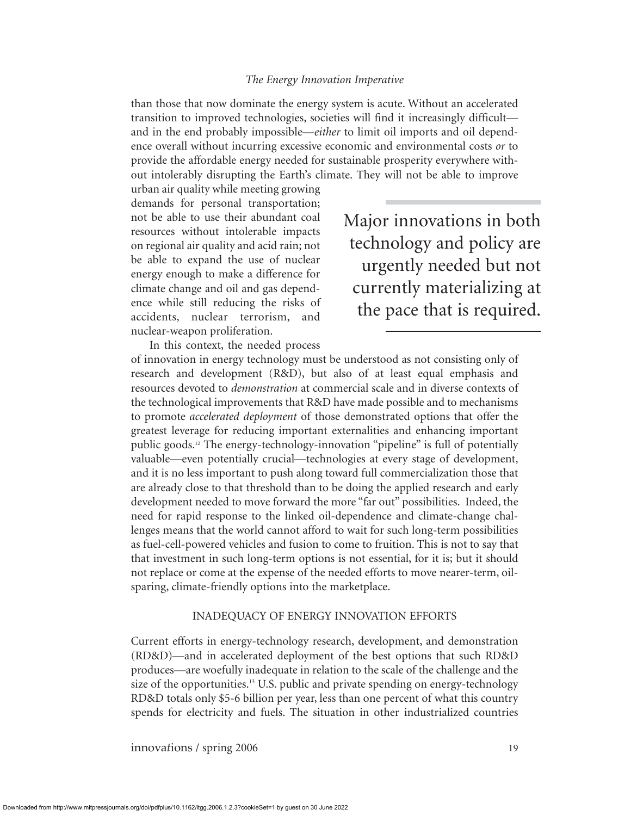than those that now dominate the energy system is acute. Without an accelerated transition to improved technologies, societies will find it increasingly difficult and in the end probably impossible—*either* to limit oil imports and oil dependence overall without incurring excessive economic and environmental costs *or* to provide the affordable energy needed for sustainable prosperity everywhere without intolerably disrupting the Earth's climate. They will not be able to improve

urban air quality while meeting growing demands for personal transportation; not be able to use their abundant coal resources without intolerable impacts on regional air quality and acid rain; not be able to expand the use of nuclear energy enough to make a difference for climate change and oil and gas dependence while still reducing the risks of accidents, nuclear terrorism, and nuclear-weapon proliferation.

Major innovations in both technology and policy are urgently needed but not currently materializing at the pace that is required.

In this context, the needed process

of innovation in energy technology must be understood as not consisting only of research and development (R&D), but also of at least equal emphasis and resources devoted to *demonstration* at commercial scale and in diverse contexts of the technological improvements that R&D have made possible and to mechanisms to promote *accelerated deployment* of those demonstrated options that offer the greatest leverage for reducing important externalities and enhancing important public goods.<sup>12</sup> The energy-technology-innovation "pipeline" is full of potentially valuable—even potentially crucial—technologies at every stage of development, and it is no less important to push along toward full commercialization those that are already close to that threshold than to be doing the applied research and early development needed to move forward the more "far out" possibilities. Indeed, the need for rapid response to the linked oil-dependence and climate-change challenges means that the world cannot afford to wait for such long-term possibilities as fuel-cell-powered vehicles and fusion to come to fruition. This is not to say that that investment in such long-term options is not essential, for it is; but it should not replace or come at the expense of the needed efforts to move nearer-term, oilsparing, climate-friendly options into the marketplace.

#### INADEQUACY OF ENERGY INNOVATION EFFORTS

Current efforts in energy-technology research, development, and demonstration (RD&D)—and in accelerated deployment of the best options that such RD&D produces—are woefully inadequate in relation to the scale of the challenge and the size of the opportunities.<sup>13</sup> U.S. public and private spending on energy-technology RD&D totals only \$5-6 billion per year, less than one percent of what this country spends for electricity and fuels. The situation in other industrialized countries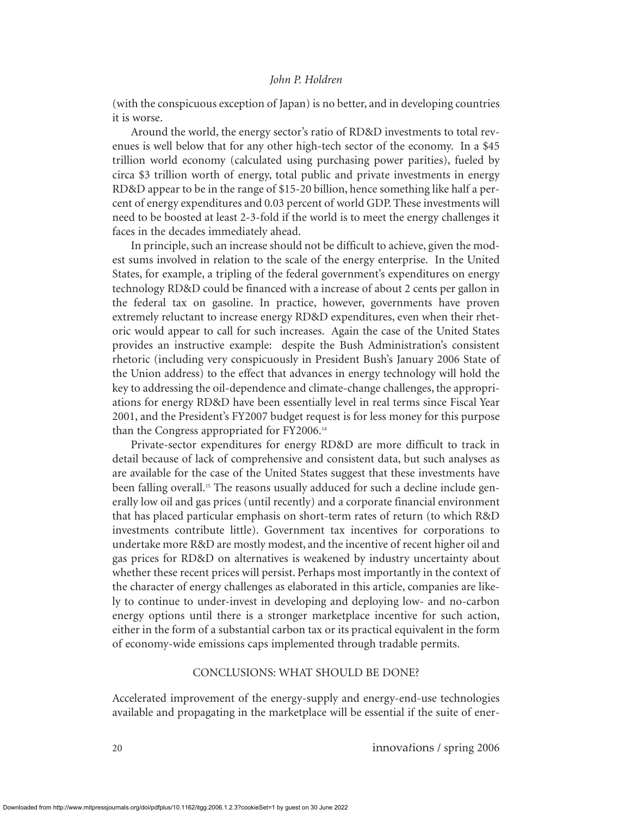(with the conspicuous exception of Japan) is no better, and in developing countries it is worse.

Around the world, the energy sector's ratio of RD&D investments to total revenues is well below that for any other high-tech sector of the economy. In a \$45 trillion world economy (calculated using purchasing power parities), fueled by circa \$3 trillion worth of energy, total public and private investments in energy RD&D appear to be in the range of \$15-20 billion, hence something like half a percent of energy expenditures and 0.03 percent of world GDP. These investments will need to be boosted at least 2-3-fold if the world is to meet the energy challenges it faces in the decades immediately ahead.

In principle, such an increase should not be difficult to achieve, given the modest sums involved in relation to the scale of the energy enterprise. In the United States, for example, a tripling of the federal government's expenditures on energy technology RD&D could be financed with a increase of about 2 cents per gallon in the federal tax on gasoline. In practice, however, governments have proven extremely reluctant to increase energy RD&D expenditures, even when their rhetoric would appear to call for such increases. Again the case of the United States provides an instructive example: despite the Bush Administration's consistent rhetoric (including very conspicuously in President Bush's January 2006 State of the Union address) to the effect that advances in energy technology will hold the key to addressing the oil-dependence and climate-change challenges, the appropriations for energy RD&D have been essentially level in real terms since Fiscal Year 2001, and the President's FY2007 budget request is for less money for this purpose than the Congress appropriated for FY2006.<sup>14</sup>

Private-sector expenditures for energy RD&D are more difficult to track in detail because of lack of comprehensive and consistent data, but such analyses as are available for the case of the United States suggest that these investments have been falling overall.<sup>15</sup> The reasons usually adduced for such a decline include generally low oil and gas prices (until recently) and a corporate financial environment that has placed particular emphasis on short-term rates of return (to which R&D investments contribute little). Government tax incentives for corporations to undertake more R&D are mostly modest, and the incentive of recent higher oil and gas prices for RD&D on alternatives is weakened by industry uncertainty about whether these recent prices will persist. Perhaps most importantly in the context of the character of energy challenges as elaborated in this article, companies are likely to continue to under-invest in developing and deploying low- and no-carbon energy options until there is a stronger marketplace incentive for such action, either in the form of a substantial carbon tax or its practical equivalent in the form of economy-wide emissions caps implemented through tradable permits.

## CONCLUSIONS: WHAT SHOULD BE DONE?

Accelerated improvement of the energy-supply and energy-end-use technologies available and propagating in the marketplace will be essential if the suite of ener-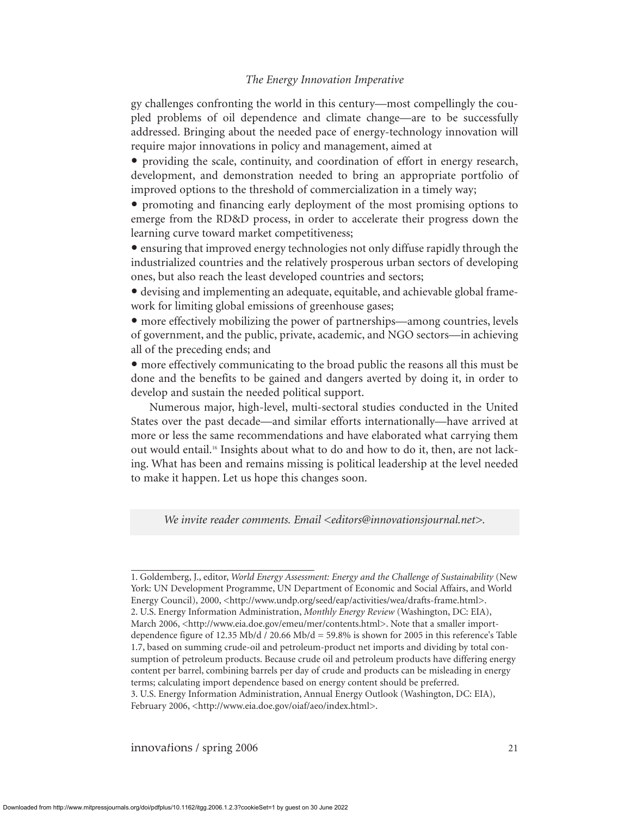gy challenges confronting the world in this century—most compellingly the coupled problems of oil dependence and climate change—are to be successfully addressed. Bringing about the needed pace of energy-technology innovation will require major innovations in policy and management, aimed at

• providing the scale, continuity, and coordination of effort in energy research, development, and demonstration needed to bring an appropriate portfolio of improved options to the threshold of commercialization in a timely way;

y promoting and financing early deployment of the most promising options to emerge from the RD&D process, in order to accelerate their progress down the learning curve toward market competitiveness;

• ensuring that improved energy technologies not only diffuse rapidly through the industrialized countries and the relatively prosperous urban sectors of developing ones, but also reach the least developed countries and sectors;

• devising and implementing an adequate, equitable, and achievable global framework for limiting global emissions of greenhouse gases;

• more effectively mobilizing the power of partnerships—among countries, levels of government, and the public, private, academic, and NGO sectors—in achieving all of the preceding ends; and

y more effectively communicating to the broad public the reasons all this must be done and the benefits to be gained and dangers averted by doing it, in order to develop and sustain the needed political support.

Numerous major, high-level, multi-sectoral studies conducted in the United States over the past decade—and similar efforts internationally—have arrived at more or less the same recommendations and have elaborated what carrying them out would entail.<sup>16</sup> Insights about what to do and how to do it, then, are not lacking. What has been and remains missing is political leadership at the level needed to make it happen. Let us hope this changes soon.

*We invite reader comments. Email <editors@innovationsjournal.net>.*

<sup>1.</sup> Goldemberg, J., editor, *World Energy Assessment: Energy and the Challenge of Sustainability* (New York: UN Development Programme, UN Department of Economic and Social Affairs, and World Energy Council), 2000, <http://www.undp.org/seed/eap/activities/wea/drafts-frame.html>. 2. U.S. Energy Information Administration, *Monthly Energy Review* (Washington, DC: EIA), March 2006, <http://www.eia.doe.gov/emeu/mer/contents.html>. Note that a smaller importdependence figure of 12.35 Mb/d / 20.66 Mb/d = 59.8% is shown for 2005 in this reference's Table 1.7, based on summing crude-oil and petroleum-product net imports and dividing by total consumption of petroleum products. Because crude oil and petroleum products have differing energy content per barrel, combining barrels per day of crude and products can be misleading in energy terms; calculating import dependence based on energy content should be preferred. 3. U.S. Energy Information Administration, Annual Energy Outlook (Washington, DC: EIA), February 2006, <http://www.eia.doe.gov/oiaf/aeo/index.html>.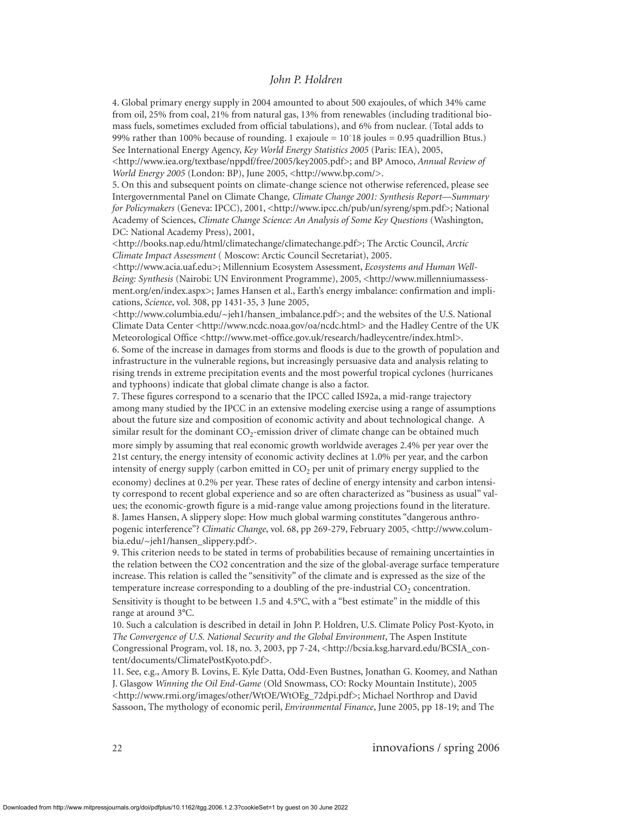4. Global primary energy supply in 2004 amounted to about 500 exajoules, of which 34% came from oil, 25% from coal, 21% from natural gas, 13% from renewables (including traditional biomass fuels, sometimes excluded from official tabulations), and 6% from nuclear. (Total adds to 99% rather than 100% because of rounding. 1 exajoule =  $10^{\circ}18$  joules = 0.95 quadrillion Btus.) See International Energy Agency, *Key World Energy Statistics 2005* (Paris: IEA), 2005,

<http://www.iea.org/textbase/nppdf/free/2005/key2005.pdf>; and BP Amoco, *Annual Review of World Energy 2005* (London: BP), June 2005, <http://www.bp.com/>.

5. On this and subsequent points on climate-change science not otherwise referenced, please see Intergovernmental Panel on Climate Change*, Climate Change 2001: Synthesis Report—Summary for Policymakers* (Geneva: IPCC), 2001, <http://www.ipcc.ch/pub/un/syreng/spm.pdf>; National Academy of Sciences, *Climate Change Science: An Analysis of Some Key Questions* (Washington, DC: National Academy Press), 2001,

<http://books.nap.edu/html/climatechange/climatechange.pdf>; The Arctic Council, *Arctic Climate Impact Assessment* ( Moscow: Arctic Council Secretariat), 2005.

<http://www.acia.uaf.edu>; Millennium Ecosystem Assessment, *Ecosystems and Human Well-Being: Synthesis* (Nairobi: UN Environment Programme), 2005, <http://www.millenniumassessment.org/en/index.aspx>; James Hansen et al., Earth's energy imbalance: confirmation and implications, *Science*, vol. 308, pp 1431-35, 3 June 2005,

<http://www.columbia.edu/~jeh1/hansen\_imbalance.pdf>; and the websites of the U.S. National Climate Data Center <http://www.ncdc.noaa.gov/oa/ncdc.html> and the Hadley Centre of the UK Meteorological Office <http://www.met-office.gov.uk/research/hadleycentre/index.html>. 6. Some of the increase in damages from storms and floods is due to the growth of population and infrastructure in the vulnerable regions, but increasingly persuasive data and analysis relating to rising trends in extreme precipitation events and the most powerful tropical cyclones (hurricanes and typhoons) indicate that global climate change is also a factor.

7. These figures correspond to a scenario that the IPCC called IS92a, a mid-range trajectory among many studied by the IPCC in an extensive modeling exercise using a range of assumptions about the future size and composition of economic activity and about technological change. A similar result for the dominant  $CO_2$ -emission driver of climate change can be obtained much more simply by assuming that real economic growth worldwide averages 2.4% per year over the 21st century, the energy intensity of economic activity declines at 1.0% per year, and the carbon intensity of energy supply (carbon emitted in  $CO<sub>2</sub>$  per unit of primary energy supplied to the economy) declines at 0.2% per year. These rates of decline of energy intensity and carbon intensity correspond to recent global experience and so are often characterized as "business as usual" values; the economic-growth figure is a mid-range value among projections found in the literature. 8. James Hansen, A slippery slope: How much global warming constitutes "dangerous anthropogenic interference"? *Climatic Change*, vol. 68, pp 269-279, February 2005, <http://www.columbia.edu/~jeh1/hansen\_slippery.pdf>.

9. This criterion needs to be stated in terms of probabilities because of remaining uncertainties in the relation between the CO2 concentration and the size of the global-average surface temperature increase. This relation is called the "sensitivity" of the climate and is expressed as the size of the temperature increase corresponding to a doubling of the pre-industrial  $CO<sub>2</sub>$  concentration. Sensitivity is thought to be between 1.5 and 4.5°C, with a "best estimate" in the middle of this range at around 3°C.

10. Such a calculation is described in detail in John P. Holdren, U.S. Climate Policy Post-Kyoto, in *The Convergence of U.S. National Security and the Global Environment*, The Aspen Institute Congressional Program, vol. 18, no. 3, 2003, pp 7-24, <http://bcsia.ksg.harvard.edu/BCSIA\_content/documents/ClimatePostKyoto.pdf>.

11. See, e.g., Amory B. Lovins, E. Kyle Datta, Odd-Even Bustnes, Jonathan G. Koomey, and Nathan J. Glasgow *Winning the Oil End-Game* (Old Snowmass, CO: Rocky Mountain Institute), 2005 <http://www.rmi.org/images/other/WtOE/WtOEg\_72dpi.pdf>; Michael Northrop and David Sassoon, The mythology of economic peril, *Environmental Finance*, June 2005, pp 18-19; and The